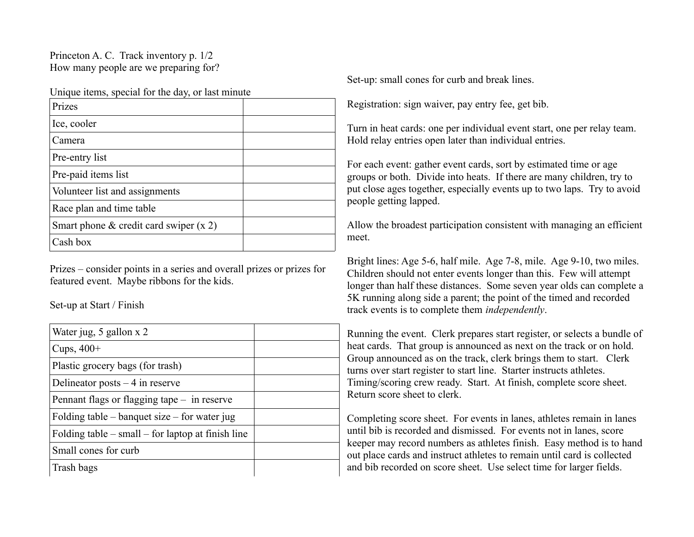Princeton A. C. Track inventory p. 1/2 How many people are we preparing for?

Unique items, special for the day, or last minute

| Prizes                                      |  |
|---------------------------------------------|--|
| Ice, cooler                                 |  |
| Camera                                      |  |
| Pre-entry list                              |  |
| Pre-paid items list                         |  |
| Volunteer list and assignments              |  |
| Race plan and time table                    |  |
| Smart phone $\&$ credit card swiper $(x 2)$ |  |
| Cash box                                    |  |

Prizes – consider points in a series and overall prizes or prizes for featured event. Maybe ribbons for the kids.

Set-up at Start / Finish

| Water jug, 5 gallon x 2                               |  |
|-------------------------------------------------------|--|
| Cups, $400+$                                          |  |
| Plastic grocery bags (for trash)                      |  |
| Delineator posts $-4$ in reserve                      |  |
| Pennant flags or flagging tape $-$ in reserve         |  |
| Folding table – banquet size – for water jug          |  |
| Folding table $-$ small $-$ for laptop at finish line |  |
| Small cones for curb                                  |  |
| Trash bags                                            |  |

Set-up: small cones for curb and break lines.

Registration: sign waiver, pay entry fee, get bib.

Turn in heat cards: one per individual event start, one per relay team. Hold relay entries open later than individual entries.

For each event: gather event cards, sort by estimated time or age groups or both. Divide into heats. If there are many children, try to put close ages together, especially events up to two laps. Try to avoid people getting lapped.

Allow the broadest participation consistent with managing an efficient meet.

Bright lines: Age 5-6, half mile. Age 7-8, mile. Age 9-10, two miles. Children should not enter events longer than this. Few will attempt longer than half these distances. Some seven year olds can complete a 5K running along side a parent; the point of the timed and recorded track events is to complete them *independently*.

Running the event. Clerk prepares start register, or selects a bundle of heat cards. That group is announced as next on the track or on hold. Group announced as on the track, clerk brings them to start. Clerk turns over start register to start line. Starter instructs athletes. Timing/scoring crew ready. Start. At finish, complete score sheet. Return score sheet to clerk.

Completing score sheet. For events in lanes, athletes remain in lanes until bib is recorded and dismissed. For events not in lanes, score keeper may record numbers as athletes finish. Easy method is to hand out place cards and instruct athletes to remain until card is collected and bib recorded on score sheet. Use select time for larger fields.